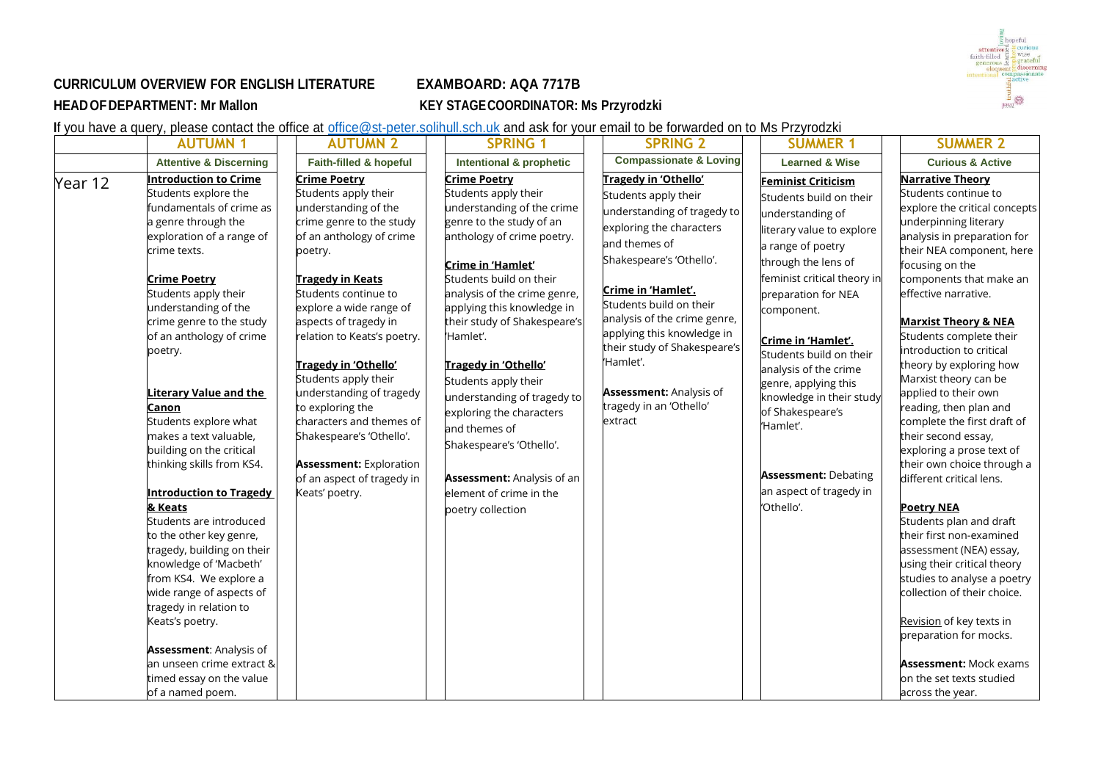

## **CURRICULUM OVERVIEW FOR ENGLISH LITERATURE EXAMBOARD: AQA 7717B HEADOFDEPARTMENT: Mr Mallon KEY STAGECOORDINATOR: Ms Przyrodzki**

If you have a query, please contact the office at [office@st-peter.solihull.sch.uk](mailto:office@st-peter.solihull.sch.uk) and ask for your email to be forwarded on to Ms Przyrodzki

| <b>AUTUMN 1</b>                                                                                                                                                                                                                                                                                                                                                                                                                                                                                                                                                                                                                                                | <b>AUTUMN 2</b>                                                                                                                                                                                                                                                                                                                                                                                                                                                                                                        | <b>SPRING 1</b>                                                                                                                                                                                                                                                                                                                                                                                                                                                                                                                             | <b>SPRING 2</b>                                                                                                                                                                                                                                                                                                                                                                          | <b>SUMMER 1</b>                                                                                                                                                                                                                                                                                                                                                                                                                                              | <b>SUMMER 2</b>                                                                                                                                                                                                                                                                                                                                                                                                                                                                                                                                                                                                                                                                                                                                                                              |
|----------------------------------------------------------------------------------------------------------------------------------------------------------------------------------------------------------------------------------------------------------------------------------------------------------------------------------------------------------------------------------------------------------------------------------------------------------------------------------------------------------------------------------------------------------------------------------------------------------------------------------------------------------------|------------------------------------------------------------------------------------------------------------------------------------------------------------------------------------------------------------------------------------------------------------------------------------------------------------------------------------------------------------------------------------------------------------------------------------------------------------------------------------------------------------------------|---------------------------------------------------------------------------------------------------------------------------------------------------------------------------------------------------------------------------------------------------------------------------------------------------------------------------------------------------------------------------------------------------------------------------------------------------------------------------------------------------------------------------------------------|------------------------------------------------------------------------------------------------------------------------------------------------------------------------------------------------------------------------------------------------------------------------------------------------------------------------------------------------------------------------------------------|--------------------------------------------------------------------------------------------------------------------------------------------------------------------------------------------------------------------------------------------------------------------------------------------------------------------------------------------------------------------------------------------------------------------------------------------------------------|----------------------------------------------------------------------------------------------------------------------------------------------------------------------------------------------------------------------------------------------------------------------------------------------------------------------------------------------------------------------------------------------------------------------------------------------------------------------------------------------------------------------------------------------------------------------------------------------------------------------------------------------------------------------------------------------------------------------------------------------------------------------------------------------|
| <b>Attentive &amp; Discerning</b>                                                                                                                                                                                                                                                                                                                                                                                                                                                                                                                                                                                                                              | Faith-filled & hopeful                                                                                                                                                                                                                                                                                                                                                                                                                                                                                                 | Intentional & prophetic                                                                                                                                                                                                                                                                                                                                                                                                                                                                                                                     | <b>Compassionate &amp; Loving</b>                                                                                                                                                                                                                                                                                                                                                        | <b>Learned &amp; Wise</b>                                                                                                                                                                                                                                                                                                                                                                                                                                    | <b>Curious &amp; Active</b>                                                                                                                                                                                                                                                                                                                                                                                                                                                                                                                                                                                                                                                                                                                                                                  |
| Introduction to Crime<br>Students explore the<br>fundamentals of crime as<br>a genre through the<br>exploration of a range of<br>crime texts.<br><b>Crime Poetry</b><br>Students apply their<br>understanding of the<br>crime genre to the study<br>of an anthology of crime<br>poetry.<br>Literary Value and the<br><b>Canon</b><br>Students explore what<br>makes a text valuable,<br>building on the critical<br>thinking skills from KS4.<br><b>Introduction to Tragedy</b><br>& Keats<br>Students are introduced<br>to the other key genre,<br>tragedy, building on their<br>knowledge of 'Macbeth'<br>from KS4. We explore a<br>wide range of aspects of | <b>Crime Poetry</b><br>Students apply their<br>understanding of the<br>crime genre to the study<br>of an anthology of crime<br>poetry.<br><b>Tragedy in Keats</b><br>Students continue to<br>explore a wide range of<br>aspects of tragedy in<br>relation to Keats's poetry.<br>Tragedy in 'Othello'<br>Students apply their<br>understanding of tragedy<br>to exploring the<br>characters and themes of<br>Shakespeare's 'Othello'.<br><b>Assessment: Exploration</b><br>of an aspect of tragedy in<br>Keats' poetry. | <b>Crime Poetry</b><br>Students apply their<br>understanding of the crime<br>genre to the study of an<br>anthology of crime poetry.<br>Crime in 'Hamlet'<br>Students build on their<br>analysis of the crime genre,<br>applying this knowledge in<br>their study of Shakespeare's<br>'Hamlet'.<br>Tragedy in 'Othello'<br>Students apply their<br>understanding of tragedy to<br>exploring the characters<br>and themes of<br>Shakespeare's 'Othello'.<br><b>Assessment: Analysis of an</b><br>element of crime in the<br>poetry collection | Tragedy in 'Othello'<br>Students apply their<br>understanding of tragedy to<br>exploring the characters<br>and themes of<br>Shakespeare's 'Othello'.<br>Crime in 'Hamlet'.<br>Students build on their<br>analysis of the crime genre,<br>applying this knowledge in<br>their study of Shakespeare's<br>'Hamlet'.<br><b>Assessment: Analysis of</b><br>tragedy in an 'Othello'<br>extract | <b>Feminist Criticism</b><br>Students build on their<br>understanding of<br>literary value to explore<br>a range of poetry<br>through the lens of<br>feminist critical theory in<br>preparation for NEA<br>component.<br>Crime in 'Hamlet'.<br>Students build on their<br>analysis of the crime<br>genre, applying this<br>knowledge in their study<br>of Shakespeare's<br>'Hamlet'.<br><b>Assessment: Debating</b><br>an aspect of tragedy in<br>'Othello'. | <b>Narrative Theory</b><br>Students continue to<br>explore the critical concepts<br>underpinning literary<br>analysis in preparation for<br>their NEA component, here<br>focusing on the<br>components that make an<br>effective narrative.<br><b>Marxist Theory &amp; NEA</b><br>Students complete their<br>introduction to critical<br>theory by exploring how<br>Marxist theory can be<br>applied to their own<br>reading, then plan and<br>complete the first draft of<br>their second essay,<br>exploring a prose text of<br>their own choice through a<br>different critical lens.<br><b>Poetry NEA</b><br>Students plan and draft<br>their first non-examined<br>assessment (NEA) essay,<br>using their critical theory<br>studies to analyse a poetry<br>collection of their choice. |
| tragedy in relation to<br>Keats's poetry.<br><b>Assessment: Analysis of</b><br>an unseen crime extract &<br>timed essay on the value                                                                                                                                                                                                                                                                                                                                                                                                                                                                                                                           |                                                                                                                                                                                                                                                                                                                                                                                                                                                                                                                        |                                                                                                                                                                                                                                                                                                                                                                                                                                                                                                                                             |                                                                                                                                                                                                                                                                                                                                                                                          |                                                                                                                                                                                                                                                                                                                                                                                                                                                              | Revision of key texts in<br>preparation for mocks.<br><b>Assessment: Mock exams</b><br>on the set texts studied                                                                                                                                                                                                                                                                                                                                                                                                                                                                                                                                                                                                                                                                              |
|                                                                                                                                                                                                                                                                                                                                                                                                                                                                                                                                                                                                                                                                |                                                                                                                                                                                                                                                                                                                                                                                                                                                                                                                        |                                                                                                                                                                                                                                                                                                                                                                                                                                                                                                                                             |                                                                                                                                                                                                                                                                                                                                                                                          |                                                                                                                                                                                                                                                                                                                                                                                                                                                              |                                                                                                                                                                                                                                                                                                                                                                                                                                                                                                                                                                                                                                                                                                                                                                                              |